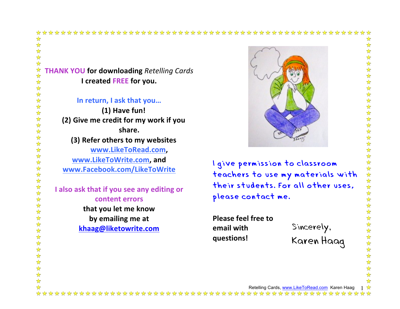## 

## **THANK YOU for downloading** *Retelling Cards* **I** created FREE for you.

译文

 $\frac{1}{\sqrt{2}}$  $\blacktriangle$ 

☆☆☆☆☆☆☆☆☆☆☆☆☆☆☆☆☆☆☆☆☆☆☆☆☆☆☆☆☆☆☆☆☆☆

☆

In return, I ask that you...

**(1) Have fun! (2)** Give me credit for my work if you **share. (3) Refer others to my websites www.LikeToRead.com,** www.LikeToWrite.com, and **www.Facebook.com/LikeToWrite**

**I** also ask that if you see any editing or **content errors that you let me know** by emailing me at **khaag@liketowrite.com**



I give permission to classroom teachers to use my materials with their students. For all other uses, please contact me.

**Please feel free to email** with **questions!**

Sincerely, Karen Haag

 $\frac{1}{2}$  $\rightarrow$ 计算 好好好好 \*\*\*\*\*\* \*\*\*\*\*\* 化化化化化化化化化化化化化化化化化

 $\frac{1}{2}$ 

Retelling Cards, www.LikeToRead.com Karen Haag 1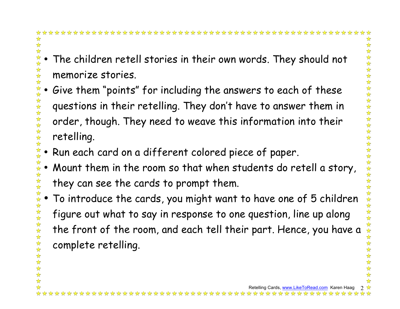## \*\*\*\*\*\*\*\*\*\*\*\*\*\*\*\*\*\*\*\*\*\*\*\*\*\*\*\*\*\*\*\*

- The children retell stories in their own words. They should not memorize stories.
- 计公众公众公众公众公众公众公 • Give them "points" for including the answers to each of these questions in their retelling. They don't have to answer them in order, though. They need to weave this information into their retelling.
- Run each card on a different colored piece of paper.
- Mount them in the room so that when students do retell a story, they can see the cards to prompt them.
- To introduce the cards, you might want to have one of 5 children 女女女女女女女女女 figure out what to say in response to one question, line up along the front of the room, and each tell their part. Hence, you have a complete retelling.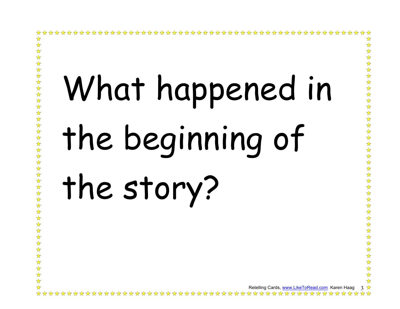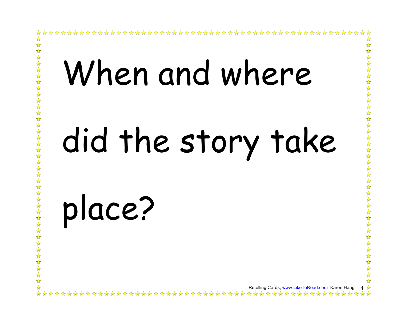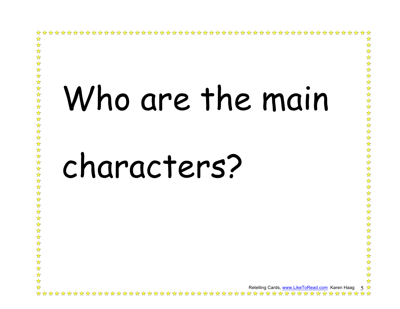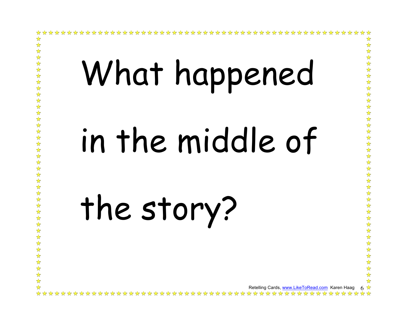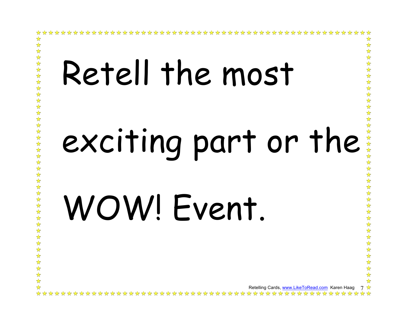